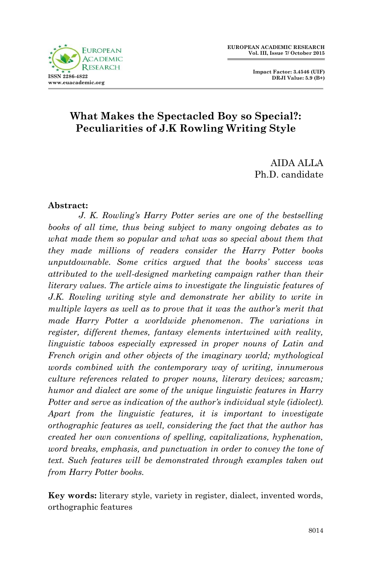

 **Impact Factor: 3.4546 (UIF) DRJI Value: 5.9 (B+)**

# **What Makes the Spectacled Boy so Special?: Peculiarities of J.K Rowling Writing Style**

AIDA ALLA Ph.D. candidate

#### **Abstract:**

*J. K. Rowling's Harry Potter series are one of the bestselling books of all time, thus being subject to many ongoing debates as to what made them so popular and what was so special about them that they made millions of readers consider the Harry Potter books unputdownable. Some critics argued that the books' success was attributed to the well-designed marketing campaign rather than their literary values. The article aims to investigate the linguistic features of J.K. Rowling writing style and demonstrate her ability to write in multiple layers as well as to prove that it was the author's merit that made Harry Potter a worldwide phenomenon. The variations in register, different themes, fantasy elements intertwined with reality, linguistic taboos especially expressed in proper nouns of Latin and French origin and other objects of the imaginary world; mythological words combined with the contemporary way of writing, innumerous culture references related to proper nouns, literary devices; sarcasm; humor and dialect are some of the unique linguistic features in Harry Potter and serve as indication of the author's individual style (idiolect). Apart from the linguistic features, it is important to investigate orthographic features as well, considering the fact that the author has created her own conventions of spelling, capitalizations, hyphenation, word breaks, emphasis, and punctuation in order to convey the tone of text. Such features will be demonstrated through examples taken out from Harry Potter books.* 

**Key words:** literary style, variety in register, dialect, invented words, orthographic features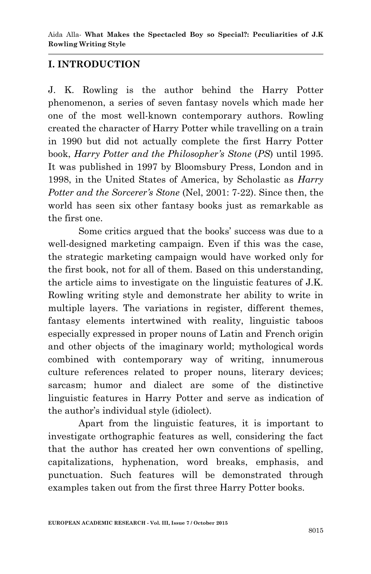# **I. INTRODUCTION**

J. K. Rowling is the author behind the Harry Potter phenomenon, a series of seven fantasy novels which made her one of the most well-known contemporary authors. Rowling created the character of Harry Potter while travelling on a train in 1990 but did not actually complete the first Harry Potter book, *Harry Potter and the Philosopher's Stone* (*PS*) until 1995. It was published in 1997 by Bloomsbury Press, London and in 1998, in the United States of America, by Scholastic as *Harry Potter and the Sorcerer's Stone* (Nel, 2001: 7-22). Since then, the world has seen six other fantasy books just as remarkable as the first one.

Some critics argued that the books' success was due to a well-designed marketing campaign. Even if this was the case, the strategic marketing campaign would have worked only for the first book, not for all of them. Based on this understanding, the article aims to investigate on the linguistic features of J.K. Rowling writing style and demonstrate her ability to write in multiple layers. The variations in register, different themes, fantasy elements intertwined with reality, linguistic taboos especially expressed in proper nouns of Latin and French origin and other objects of the imaginary world; mythological words combined with contemporary way of writing, innumerous culture references related to proper nouns, literary devices; sarcasm; humor and dialect are some of the distinctive linguistic features in Harry Potter and serve as indication of the author's individual style (idiolect).

Apart from the linguistic features, it is important to investigate orthographic features as well, considering the fact that the author has created her own conventions of spelling, capitalizations, hyphenation, word breaks, emphasis, and punctuation. Such features will be demonstrated through examples taken out from the first three Harry Potter books.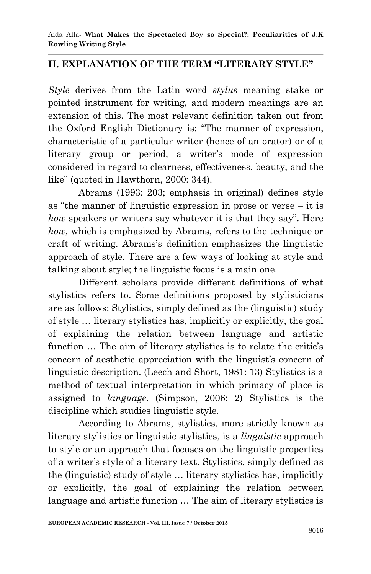## **II. EXPLANATION OF THE TERM "LITERARY STYLE"**

*Style* derives from the Latin word *stylus* meaning stake or pointed instrument for writing, and modern meanings are an extension of this. The most relevant definition taken out from the Oxford English Dictionary is: "The manner of expression, characteristic of a particular writer (hence of an orator) or of a literary group or period; a writer's mode of expression considered in regard to clearness, effectiveness, beauty, and the like" (quoted in Hawthorn, 2000: 344).

Abrams (1993: 203; emphasis in original) defines style as "the manner of linguistic expression in prose or verse  $-$  it is *how* speakers or writers say whatever it is that they say". Here *how,* which is emphasized by Abrams, refers to the technique or craft of writing. Abrams's definition emphasizes the linguistic approach of style. There are a few ways of looking at style and talking about style; the linguistic focus is a main one.

Different scholars provide different definitions of what stylistics refers to. Some definitions proposed by stylisticians are as follows: Stylistics, simply defined as the (linguistic) study of style … literary stylistics has, implicitly or explicitly, the goal of explaining the relation between language and artistic function … The aim of literary stylistics is to relate the critic's concern of aesthetic appreciation with the linguist's concern of linguistic description. (Leech and Short, 1981: 13) Stylistics is a method of textual interpretation in which primacy of place is assigned to *language*. (Simpson, 2006: 2) Stylistics is the discipline which studies linguistic style.

According to Abrams, stylistics, more strictly known as literary stylistics or linguistic stylistics, is a *linguistic* approach to style or an approach that focuses on the linguistic properties of a writer's style of a literary text. Stylistics, simply defined as the (linguistic) study of style … literary stylistics has, implicitly or explicitly, the goal of explaining the relation between language and artistic function … The aim of literary stylistics is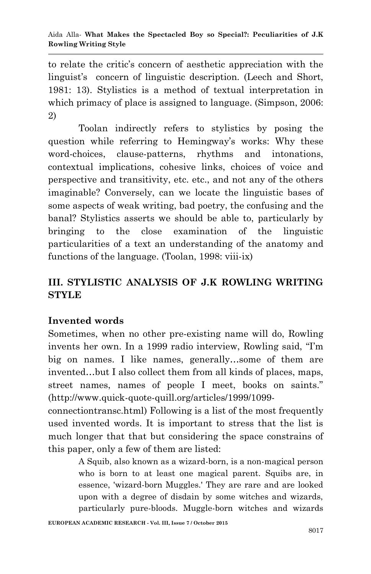to relate the critic's concern of aesthetic appreciation with the linguist's concern of linguistic description. (Leech and Short, 1981: 13). Stylistics is a method of textual interpretation in which primacy of place is assigned to language. (Simpson, 2006: 2)

Toolan indirectly refers to stylistics by posing the question while referring to Hemingway's works: Why these word-choices, clause-patterns, rhythms and intonations, contextual implications, cohesive links, choices of voice and perspective and transitivity, etc. etc., and not any of the others imaginable? Conversely, can we locate the linguistic bases of some aspects of weak writing, bad poetry, the confusing and the banal? Stylistics asserts we should be able to, particularly by bringing to the close examination of the linguistic particularities of a text an understanding of the anatomy and functions of the language. (Toolan, 1998: viii-ix)

# **III. STYLISTIC ANALYSIS OF J.K ROWLING WRITING STYLE**

## **Invented words**

Sometimes, when no other pre-existing name will do, Rowling invents her own. In a 1999 radio interview, Rowling said, "I'm big on names. I like names, generally…some of them are invented…but I also collect them from all kinds of places, maps, street names, names of people I meet, books on saints." (http://www.quick-quote-quill.org/articles/1999/1099-

connectiontransc.html) Following is a list of the most frequently used invented words. It is important to stress that the list is much longer that that but considering the space constrains of this paper, only a few of them are listed:

> A Squib, also known as a wizard-born, is a non-magical person who is born to at least one magical parent. Squibs are, in essence, 'wizard-born Muggles.' They are rare and are looked upon with a degree of disdain by some witches and wizards, particularly pure-bloods. Muggle-born witches and wizards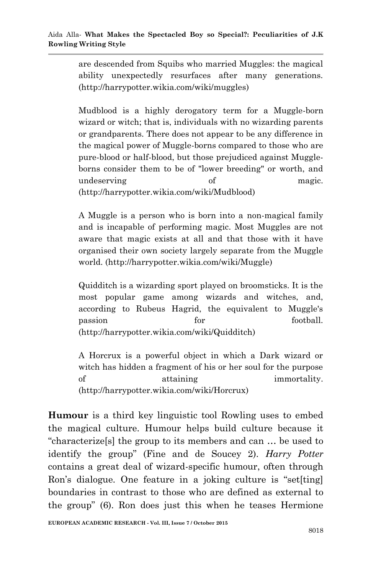are descended from Squibs who married Muggles: the magical ability unexpectedly resurfaces after many generations. (http://harrypotter.wikia.com/wiki/muggles)

Mudblood is a highly derogatory term for a Muggle-born wizard or witch; that is, individuals with no wizarding parents or grandparents. There does not appear to be any difference in the magical power of Muggle-borns compared to those who are pure-blood or half-blood, but those prejudiced against Muggleborns consider them to be of "lower breeding" or worth, and undeserving of magic. (http://harrypotter.wikia.com/wiki/Mudblood)

A Muggle is a person who is born into a non-magical family and is incapable of performing magic. Most Muggles are not aware that magic exists at all and that those with it have organised their own society largely separate from the Muggle world. (http://harrypotter.wikia.com/wiki/Muggle)

Quidditch is a wizarding sport played on broomsticks. It is the most popular game among wizards and witches, and, according to Rubeus Hagrid, the equivalent to Muggle's passion for football. (http://harrypotter.wikia.com/wiki/Quidditch)

A Horcrux is a powerful object in which a Dark wizard or witch has hidden a fragment of his or her soul for the purpose of attaining immortality. (http://harrypotter.wikia.com/wiki/Horcrux)

**Humour** is a third key linguistic tool Rowling uses to embed the magical culture. Humour helps build culture because it ―characterize[s] the group to its members and can … be used to identify the group" (Fine and de Soucey 2). *Harry Potter* contains a great deal of wizard-specific humour, often through Ron's dialogue. One feature in a joking culture is "set[ting] boundaries in contrast to those who are defined as external to the group" (6). Ron does just this when he teases Hermione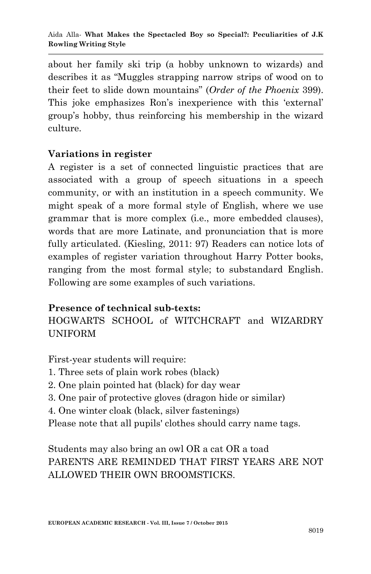about her family ski trip (a hobby unknown to wizards) and describes it as "Muggles strapping narrow strips of wood on to their feet to slide down mountains‖ (*Order of the Phoenix* 399). This joke emphasizes Ron's inexperience with this 'external' group's hobby, thus reinforcing his membership in the wizard culture.

### **Variations in register**

A register is a set of connected linguistic practices that are associated with a group of speech situations in a speech community, or with an institution in a speech community. We might speak of a more formal style of English, where we use grammar that is more complex (i.e., more embedded clauses), words that are more Latinate, and pronunciation that is more fully articulated. (Kiesling, 2011: 97) Readers can notice lots of examples of register variation throughout Harry Potter books, ranging from the most formal style; to substandard English. Following are some examples of such variations.

## **Presence of technical sub-texts:**

# HOGWARTS SCHOOL of WITCHCRAFT and WIZARDRY UNIFORM

First-year students will require:

- 1. Three sets of plain work robes (black)
- 2. One plain pointed hat (black) for day wear
- 3. One pair of protective gloves (dragon hide or similar)
- 4. One winter cloak (black, silver fastenings)
- Please note that all pupils' clothes should carry name tags.

Students may also bring an owl OR a cat OR a toad PARENTS ARE REMINDED THAT FIRST YEARS ARE NOT ALLOWED THEIR OWN BROOMSTICKS.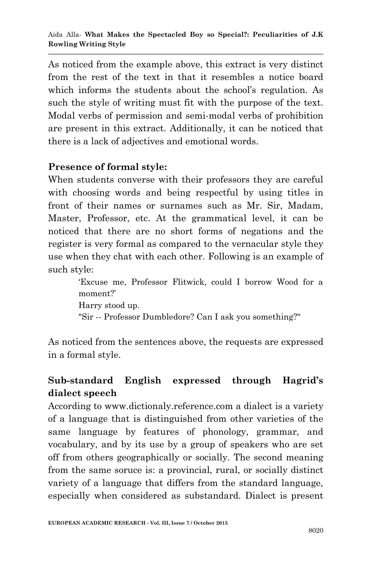As noticed from the example above, this extract is very distinct from the rest of the text in that it resembles a notice board which informs the students about the school's regulation. As such the style of writing must fit with the purpose of the text. Modal verbs of permission and semi-modal verbs of prohibition are present in this extract. Additionally, it can be noticed that there is a lack of adjectives and emotional words.

## **Presence of formal style:**

When students converse with their professors they are careful with choosing words and being respectful by using titles in front of their names or surnames such as Mr. Sir, Madam, Master, Professor, etc. At the grammatical level, it can be noticed that there are no short forms of negations and the register is very formal as compared to the vernacular style they use when they chat with each other. Following is an example of such style:

> ‗Excuse me, Professor Flitwick, could I borrow Wood for a moment?' Harry stood up. "Sir -- Professor Dumbledore? Can I ask you something?"

As noticed from the sentences above, the requests are expressed in a formal style.

# **Sub-standard English expressed through Hagrid's dialect speech**

According to www.dictionaly.reference.com a dialect is a variety of a language that is distinguished from other varieties of the same language by features of phonology, grammar, and vocabulary, and by its use by a group of speakers who are set off from others geographically or socially. The second meaning from the same soruce is: a provincial, rural, or socially distinct variety of a language that differs from the standard language, especially when considered as substandard. Dialect is present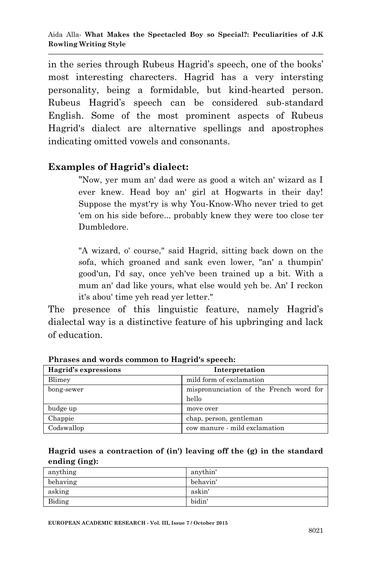in the series through Rubeus Hagrid's speech, one of the books' most interesting charecters. Hagrid has a very intersting personality, being a formidable, but kind-hearted person. Rubeus Hagrid's speech can be considered sub-standard English. Some of the most prominent aspects of Rubeus Hagrid's dialect are alternative spellings and apostrophes indicating omitted vowels and consonants.

### **Examples of Hagrid's dialect:**

"Now, yer mum an' dad were as good a witch an' wizard as I ever knew. Head boy an' girl at Hogwarts in their day! Suppose the myst'ry is why You-Know-Who never tried to get 'em on his side before... probably knew they were too close ter Dumbledore.

"A wizard, o' course," said Hagrid, sitting back down on the sofa, which groaned and sank even lower, "an' a thumpin' good'un, I'd say, once yeh've been trained up a bit. With a mum an' dad like yours, what else would yeh be. An' I reckon it's abou' time yeh read yer letter."

The presence of this linguistic feature, namely Hagrid's dialectal way is a distinctive feature of his upbringing and lack of education.

| Hagrid's expressions | Interpretation                                   |
|----------------------|--------------------------------------------------|
| Blimey               | mild form of exclamation                         |
| bong-sewer           | mispronunciation of the French word for<br>hello |
| budge up             | move over                                        |
| Chappie              | chap, person, gentleman                          |
| Codswallop           | cow manure - mild exclamation                    |

**Phrases and words common to Hagrid's speech:**

**Hagrid uses a contraction of (in') leaving off the (g) in the standard ending (ing):** 

| anything | anythin' |
|----------|----------|
| behaving | behavin' |
| asking   | askin'   |
| Biding   | bidin'   |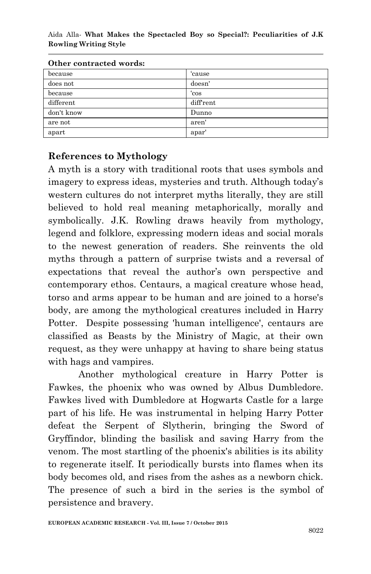Aida Alla*-* **What Makes the Spectacled Boy so Special?: Peculiarities of J.K Rowling Writing Style** 

| Other contracted words. |          |
|-------------------------|----------|
| because                 | 'cause   |
| does not                | doesn'   |
| because                 | ʻcos     |
| different               | diffrent |
| don't know              | Dunno    |
| are not                 | aren'    |
| apart                   | apar'    |

**Other contracted words:**

#### **References to Mythology**

A myth is a story with traditional roots that uses symbols and imagery to express ideas, mysteries and truth. Although today's western cultures do not interpret myths literally, they are still believed to hold real meaning metaphorically, morally and symbolically. J.K. Rowling draws heavily from mythology, legend and folklore, expressing modern ideas and social morals to the newest generation of readers. She reinvents the old myths through a pattern of surprise twists and a reversal of expectations that reveal the author's own perspective and contemporary ethos. Centaurs, a magical creature whose head, torso and arms appear to be human and are joined to a horse's body, are among the mythological creatures included in Harry Potter. Despite possessing 'human intelligence', centaurs are classified as Beasts by the Ministry of Magic, at their own request, as they were unhappy at having to share being status with hags and vampires.

Another mythological creature in Harry Potter is Fawkes, the phoenix who was owned by Albus Dumbledore. Fawkes lived with Dumbledore at Hogwarts Castle for a large part of his life. He was instrumental in helping Harry Potter defeat the Serpent of Slytherin, bringing the Sword of Gryffindor, blinding the basilisk and saving Harry from the venom. The most startling of the phoenix's abilities is its ability to regenerate itself. It periodically bursts into flames when its body becomes old, and rises from the ashes as a newborn chick. The presence of such a bird in the series is the symbol of persistence and bravery.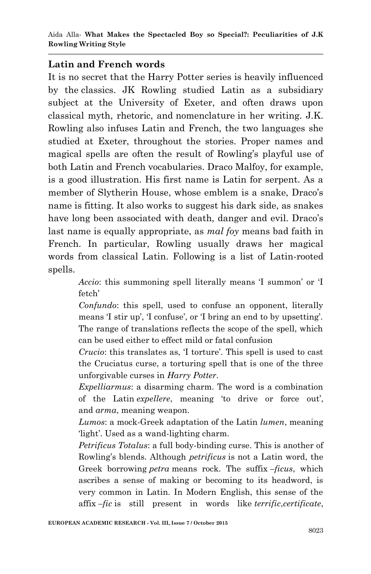### **Latin and French words**

It is no secret that the Harry Potter series is heavily influenced by the classics. JK Rowling studied Latin as a subsidiary subject at the University of Exeter, and often draws upon classical myth, rhetoric, and nomenclature in her writing. J.K. Rowling also infuses Latin and French, the two languages she studied at Exeter, throughout the stories. Proper names and magical spells are often the result of Rowling's playful use of both Latin and French vocabularies. Draco Malfoy, for example, is a good illustration. His first name is Latin for serpent. As a member of Slytherin House, whose emblem is a snake, Draco's name is fitting. It also works to suggest his dark side, as snakes have long been associated with death, danger and evil. Draco's last name is equally appropriate, as *mal foy* means bad faith in French. In particular, Rowling usually draws her magical words from classical Latin. Following is a list of Latin-rooted spells.

> *Accio*: this summoning spell literally means 'I summon' or 'I fetch'

> *Confundo*: this spell, used to confuse an opponent, literally means 'I stir up', 'I confuse', or 'I bring an end to by upsetting'. The range of translations reflects the scope of the spell, which can be used either to effect mild or fatal confusion

> *Crucio*: this translates as, 'I torture'. This spell is used to cast the Cruciatus curse, a torturing spell that is one of the three unforgivable curses in *Harry Potter*.

> *Expelliarmus*: a disarming charm. The word is a combination of the Latin *expellere*, meaning ‗to drive or force out', and *arma*, meaning weapon.

> *Lumos*: a mock-Greek adaptation of the Latin *lumen*, meaning light'. Used as a wand-lighting charm.

> *Petrificus Totalus*: a full body-binding curse. This is another of Rowling's blends. Although *petrificus* is not a Latin word, the Greek borrowing *petra* means rock. The suffix *–ficus*, which ascribes a sense of making or becoming to its headword, is very common in Latin. In Modern English, this sense of the affix *–fic* is still present in words like *terrific*,*certificate*,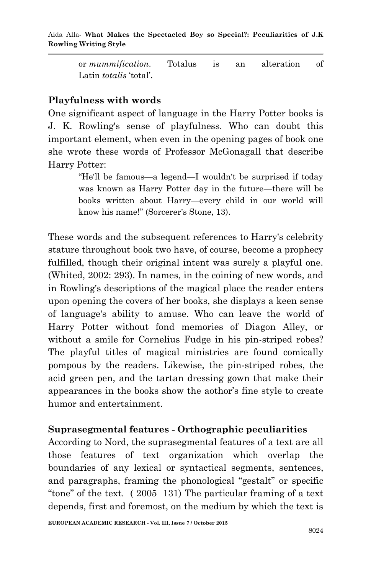or *mummification*. Totalus is an alteration of Latin *totalis* 'total'.

## **Playfulness with words**

One significant aspect of language in the Harry Potter books is J. K. Rowling's sense of playfulness. Who can doubt this important element, when even in the opening pages of book one she wrote these words of Professor McGonagall that describe Harry Potter:

> ―He'll be famous—a legend—I wouldn't be surprised if today was known as Harry Potter day in the future—there will be books written about Harry—every child in our world will know his name!" (Sorcerer's Stone, 13).

These words and the subsequent references to Harry's celebrity stature throughout book two have, of course, become a prophecy fulfilled, though their original intent was surely a playful one. (Whited, 2002: 293). In names, in the coining of new words, and in Rowling's descriptions of the magical place the reader enters upon opening the covers of her books, she displays a keen sense of language's ability to amuse. Who can leave the world of Harry Potter without fond memories of Diagon Alley, or without a smile for Cornelius Fudge in his pin-striped robes? The playful titles of magical ministries are found comically pompous by the readers. Likewise, the pin-striped robes, the acid green pen, and the tartan dressing gown that make their appearances in the books show the aothor's fine style to create humor and entertainment.

### **Suprasegmental features - Orthographic peculiarities**

According to Nord, the suprasegmental features of a text are all those features of text organization which overlap the boundaries of any lexical or syntactical segments, sentences, and paragraphs, framing the phonological "gestalt" or specific "tone" of the text.  $(2005 \t131)$  The particular framing of a text depends, first and foremost, on the medium by which the text is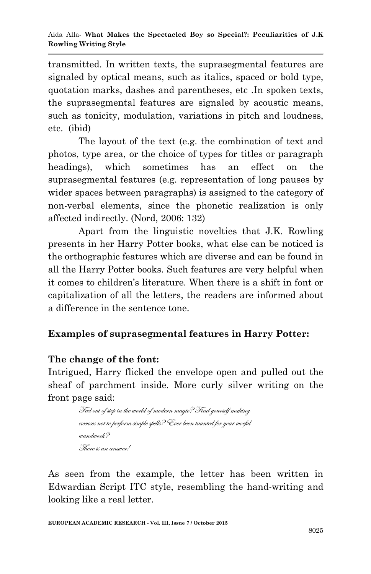transmitted. In written texts, the suprasegmental features are signaled by optical means, such as italics, spaced or bold type, quotation marks, dashes and parentheses, etc .In spoken texts, the suprasegmental features are signaled by acoustic means, such as tonicity, modulation, variations in pitch and loudness, etc. (ibid)

The layout of the text (e.g. the combination of text and photos, type area, or the choice of types for titles or paragraph headings), which sometimes has an effect on the suprasegmental features (e.g. representation of long pauses by wider spaces between paragraphs) is assigned to the category of non-verbal elements, since the phonetic realization is only affected indirectly. (Nord, 2006: 132)

Apart from the linguistic novelties that J.K. Rowling presents in her Harry Potter books, what else can be noticed is the orthographic features which are diverse and can be found in all the Harry Potter books. Such features are very helpful when it comes to children's literature. When there is a shift in font or capitalization of all the letters, the readers are informed about a difference in the sentence tone.

## **Examples of suprasegmental features in Harry Potter:**

### **The change of the font:**

Intrigued, Harry flicked the envelope open and pulled out the sheaf of parchment inside. More curly silver writing on the front page said:

> Feel out of step in the world of modern magic? Find yourself making excuses not to perform simple spells? Ever been taunted for your woeful wandwork? There is an answer!

As seen from the example, the letter has been written in Edwardian Script ITC style, resembling the hand-writing and looking like a real letter.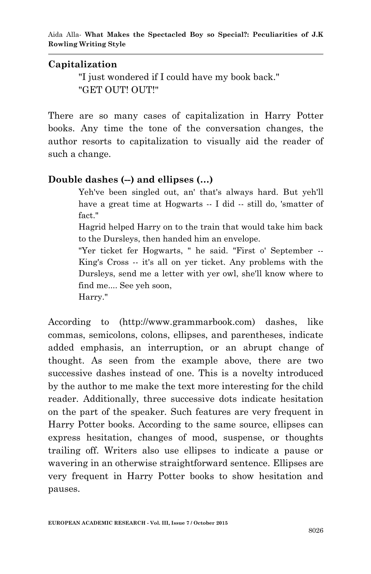### **Capitalization**

"I just wondered if I could have my book back." "GET OUT! OUT!"

There are so many cases of capitalization in Harry Potter books. Any time the tone of the conversation changes, the author resorts to capitalization to visually aid the reader of such a change.

### **Double dashes (--) and ellipses (…)**

Yeh've been singled out, an' that's always hard. But yeh'll have a great time at Hogwarts -- I did -- still do, 'smatter of fact."

Hagrid helped Harry on to the train that would take him back to the Dursleys, then handed him an envelope.

"Yer ticket fer Hogwarts, " he said. "First o' September -- King's Cross -- it's all on yer ticket. Any problems with the Dursleys, send me a letter with yer owl, she'll know where to find me.... See yeh soon,

Harry."

According to (http://www.grammarbook.com) dashes, like commas, semicolons, colons, ellipses, and parentheses, indicate added emphasis, an interruption, or an abrupt change of thought. As seen from the example above, there are two successive dashes instead of one. This is a novelty introduced by the author to me make the text more interesting for the child reader. Additionally, three successive dots indicate hesitation on the part of the speaker. Such features are very frequent in Harry Potter books. According to the same source, ellipses can express hesitation, changes of mood, suspense, or thoughts trailing off. Writers also use ellipses to indicate a pause or wavering in an otherwise straightforward sentence. Ellipses are very frequent in Harry Potter books to show hesitation and pauses.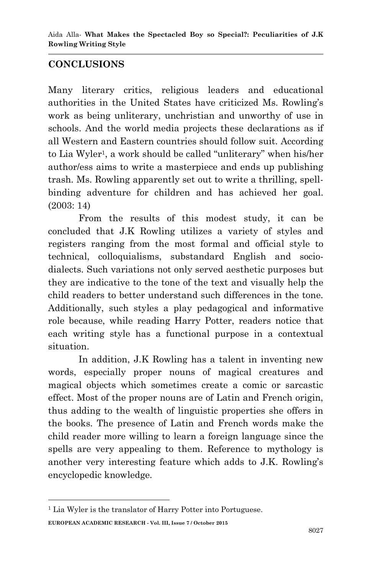### **CONCLUSIONS**

Many literary critics, religious leaders and educational authorities in the United States have criticized Ms. Rowling's work as being unliterary, unchristian and unworthy of use in schools. And the world media projects these declarations as if all Western and Eastern countries should follow suit. According to Lia Wyler<sup>1</sup>, a work should be called "unliterary" when his/her author/ess aims to write a masterpiece and ends up publishing trash. Ms. Rowling apparently set out to write a thrilling, spellbinding adventure for children and has achieved her goal. (2003: 14)

From the results of this modest study, it can be concluded that J.K Rowling utilizes a variety of styles and registers ranging from the most formal and official style to technical, colloquialisms, substandard English and sociodialects. Such variations not only served aesthetic purposes but they are indicative to the tone of the text and visually help the child readers to better understand such differences in the tone. Additionally, such styles a play pedagogical and informative role because, while reading Harry Potter, readers notice that each writing style has a functional purpose in a contextual situation.

In addition, J.K Rowling has a talent in inventing new words, especially proper nouns of magical creatures and magical objects which sometimes create a comic or sarcastic effect. Most of the proper nouns are of Latin and French origin, thus adding to the wealth of linguistic properties she offers in the books. The presence of Latin and French words make the child reader more willing to learn a foreign language since the spells are very appealing to them. Reference to mythology is another very interesting feature which adds to J.K. Rowling's encyclopedic knowledge.

**.** 

**EUROPEAN ACADEMIC RESEARCH - Vol. III, Issue 7 / October 2015** <sup>1</sup> Lia Wyler is the translator of Harry Potter into Portuguese.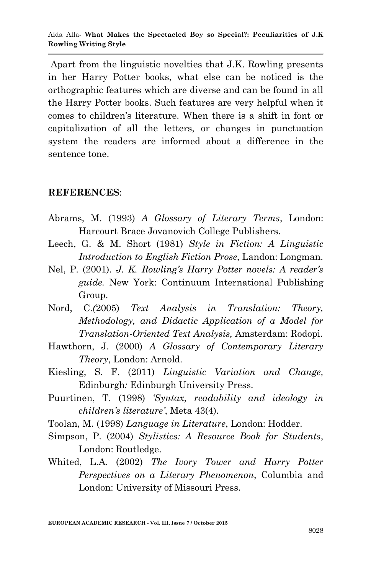Apart from the linguistic novelties that J.K. Rowling presents in her Harry Potter books, what else can be noticed is the orthographic features which are diverse and can be found in all the Harry Potter books. Such features are very helpful when it comes to children's literature. When there is a shift in font or capitalization of all the letters, or changes in punctuation system the readers are informed about a difference in the sentence tone.

### **REFERENCES**:

- Abrams, M. (1993) *A Glossary of Literary Terms*, London: Harcourt Brace Jovanovich College Publishers.
- Leech, G. & M. Short (1981) *Style in Fiction: A Linguistic Introduction to English Fiction Prose*, Landon: Longman.
- Nel, P. (2001). *J. K. Rowling's Harry Potter novels: A reader's guide.* New York: Continuum International Publishing Group.
- Nord, C.*(*2005) *Text Analysis in Translation: Theory, Methodology, and Didactic Application of a Model for Translation-Oriented Text Analysis,* Amsterdam: Rodopi.
- Hawthorn, J. (2000) *A Glossary of Contemporary Literary Theory*, London: Arnold.
- Kiesling, S. F. (2011) *Linguistic Variation and Change,*  Edinburgh*:* Edinburgh University Press.
- Puurtinen, T. (1998) *'Syntax, readability and ideology in children's literature'*, Meta 43(4).
- Toolan, M. (1998) *Language in Literature*, London: Hodder.
- Simpson, P. (2004) *Stylistics: A Resource Book for Students*, London: Routledge.
- Whited, L.A. (2002) *The Ivory Tower and Harry Potter Perspectives on a Literary Phenomenon*, Columbia and London: University of Missouri Press.